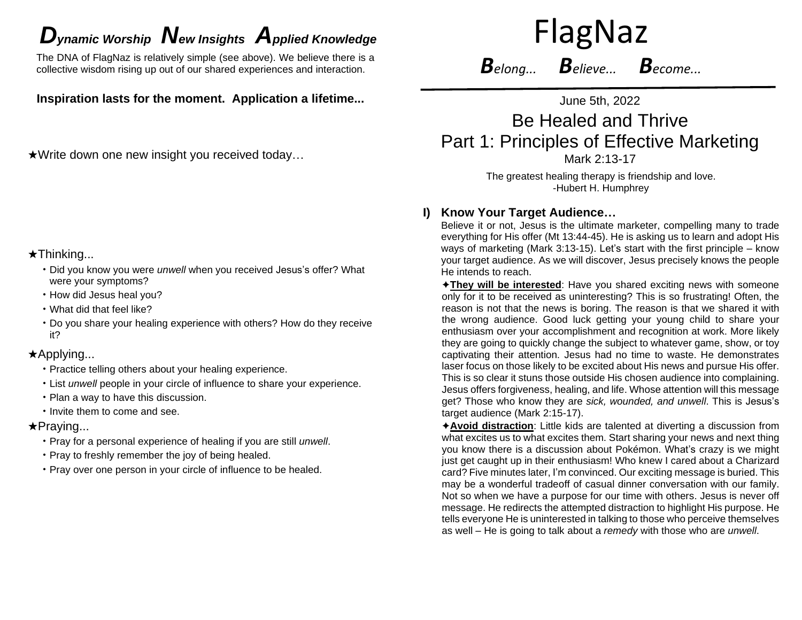# *D*<sub>*ynamic* Worship **N**ew Insights Applied Knowledge FlagNaz</sub>

The DNA of FlagNaz is relatively simple (see above). We believe there is a collective wisdom rising up out of our shared experiences and interaction.

**Inspiration lasts for the moment. Application a lifetime...**

★Write down one new insight you received today…

# ★Thinking...

- Did you know you were *unwell* when you received Jesus's offer? What were your symptoms?
- How did Jesus heal you?
- What did that feel like?
- Do you share your healing experience with others? How do they receive it?

# ★Applying...

- Practice telling others about your healing experience.
- List *unwell* people in your circle of influence to share your experience.
- Plan a way to have this discussion.
- Invite them to come and see.

# ★Praying...

- Pray for a personal experience of healing if you are still *unwell*.
- Pray to freshly remember the joy of being healed.
- Pray over one person in your circle of influence to be healed.

*Belong... Believe... Become...*

June 5th, 2022

# Be Healed and Thrive Part 1: Principles of Effective Marketing Mark 2:13-17

The greatest healing therapy is friendship and love. -Hubert H. Humphrey

# **I) Know Your Target Audience…**

Believe it or not, Jesus is the ultimate marketer, compelling many to trade everything for His offer (Mt 13:44-45). He is asking us to learn and adopt His ways of marketing (Mark 3:13-15). Let's start with the first principle – know your target audience. As we will discover, Jesus precisely knows the people He intends to reach.

✦**They will be interested**: Have you shared exciting news with someone only for it to be received as uninteresting? This is so frustrating! Often, the reason is not that the news is boring. The reason is that we shared it with the wrong audience. Good luck getting your young child to share your enthusiasm over your accomplishment and recognition at work. More likely they are going to quickly change the subject to whatever game, show, or toy captivating their attention. Jesus had no time to waste. He demonstrates laser focus on those likely to be excited about His news and pursue His offer. This is so clear it stuns those outside His chosen audience into complaining. Jesus offers forgiveness, healing, and life. Whose attention will this message get? Those who know they are *sick, wounded, and unwell*. This is Jesus's target audience (Mark 2:15-17).

✦**Avoid distraction**: Little kids are talented at diverting a discussion from what excites us to what excites them. Start sharing your news and next thing you know there is a discussion about Pokémon. What's crazy is we might just get caught up in their enthusiasm! Who knew I cared about a Charizard card? Five minutes later, I'm convinced. Our exciting message is buried. This may be a wonderful tradeoff of casual dinner conversation with our family. Not so when we have a purpose for our time with others. Jesus is never off message. He redirects the attempted distraction to highlight His purpose. He tells everyone He is uninterested in talking to those who perceive themselves as well – He is going to talk about a *remedy* with those who are *unwell*.